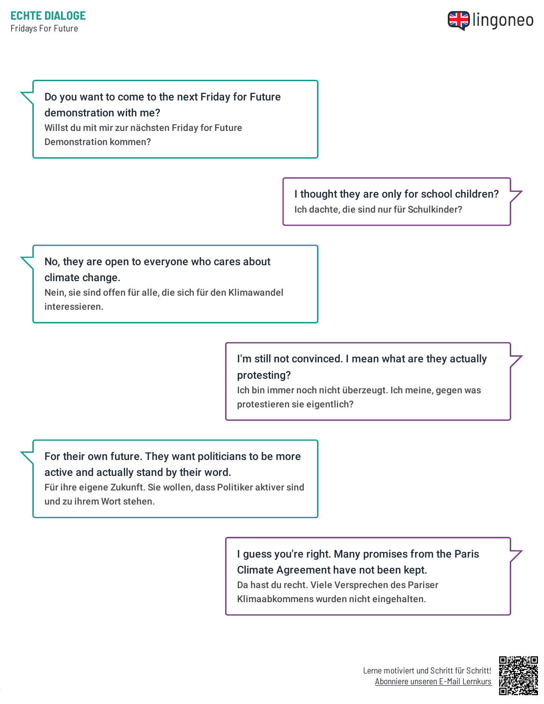

### Do you want to come to the next Friday for Future

### demonstration with me?

Willst du mit mir zur nächsten Friday for Future Demonstration kommen?

> I thought they are only for school children? Ich dachte, die sind nur für Schulkinder?

### No, they are open to everyone who cares about climate change. Nein, sie sind offen für alle, die sich für den Klimawandel interessieren.

I'm still not convinced. I mean what are they actually protesting? Ich bin immer noch nicht überzeugt. Ich meine, gegen was

protestieren sie eigentlich?

# For their own future. They want politicians to be more active and actually stand by their word.

Für ihre eigene Zukunft. Sie wollen, dass Politiker aktiver sind und zu ihrem Wort stehen.

# I guess you're right. Many promises from the Paris Climate Agreement have not been kept.

Da hast du recht. Viele Versprechen des Pariser Klimaabkommens wurden nicht eingehalten.

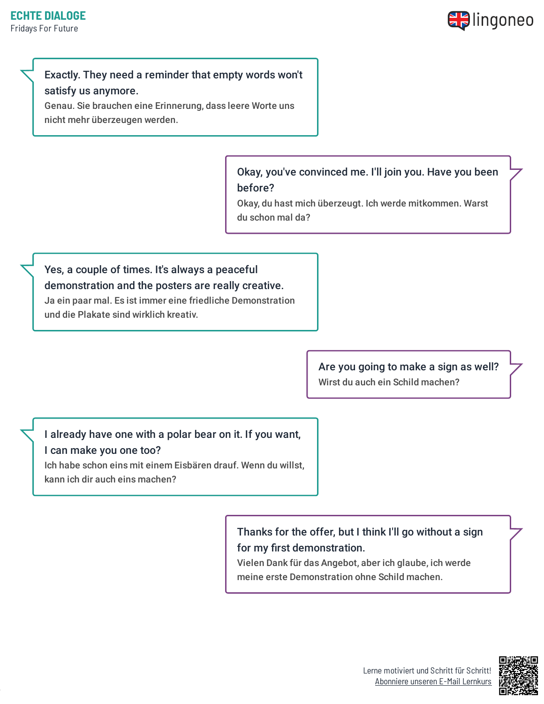

### Exactly. They need a reminder that empty words won't satisfy us anymore.

Genau. Sie brauchen eine Erinnerung, dass leere Worte uns nicht mehr überzeugen werden.

> Okay, you've convinced me. I'll join you. Have you been before?

Okay, du hast mich überzeugt. Ich werde mitkommen. Warst du schon mal da?

# Yes, a couple of times. It's always a peaceful demonstration and the posters are really creative. Ja ein paar mal. Es ist immer eine friedliche Demonstration

und die Plakate sind wirklich kreativ.

Are you going to make a sign as well? Wirst du auch ein Schild machen?

## I already have one with a polar bear on it. If you want,

#### I can make you one too?

Ich habe schon eins mit einem Eisbären drauf. Wenn du willst, kann ich dir auch eins machen?

> Thanks for the offer, but I think I'll go without a sign for my first demonstration.

Vielen Dank für das Angebot, aber ich glaube, ich werde meine erste Demonstration ohne Schild machen.